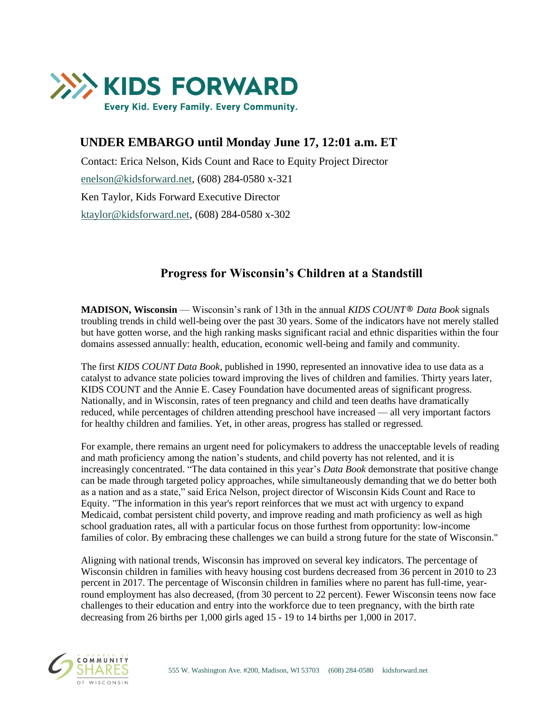

# **UNDER EMBARGO until Monday June 17, 12:01 a.m. ET**

Contact: Erica Nelson, Kids Count and Race to Equity Project Director [enelson@kidsforward.net,](mailto:enelson@kidsforward.net) (608) 284-0580 x-321 Ken Taylor, Kids Forward Executive Director [ktaylor@kidsforward.net,](mailto:ktaylor@kidsforward.net) (608) 284-0580 x-302

# **Progress for Wisconsin's Children at a Standstill**

**MADISON, Wisconsin** — Wisconsin's rank of 13th in the annual *KIDS COUNT® Data Book* signals troubling trends in child well-being over the past 30 years. Some of the indicators have not merely stalled but have gotten worse, and the high ranking masks significant racial and ethnic disparities within the four domains assessed annually: health, education, economic well-being and family and community.

The first *KIDS COUNT Data Book*, published in 1990, represented an innovative idea to use data as a catalyst to advance state policies toward improving the lives of children and families. Thirty years later, KIDS COUNT and the Annie E. Casey Foundation have documented areas of significant progress. Nationally, and in Wisconsin, rates of teen pregnancy and child and teen deaths have dramatically reduced, while percentages of children attending preschool have increased — all very important factors for healthy children and families. Yet, in other areas, progress has stalled or regressed.

For example, there remains an urgent need for policymakers to address the unacceptable levels of reading and math proficiency among the nation's students, and child poverty has not relented, and it is increasingly concentrated. "The data contained in this year's *Data Book* demonstrate that positive change can be made through targeted policy approaches, while simultaneously demanding that we do better both as a nation and as a state," said Erica Nelson, project director of Wisconsin Kids Count and Race to Equity. "The information in this year's report reinforces that we must act with urgency to expand Medicaid, combat persistent child poverty, and improve reading and math proficiency as well as high school graduation rates, all with a particular focus on those furthest from opportunity: low-income families of color. By embracing these challenges we can build a strong future for the state of Wisconsin."

Aligning with national trends, Wisconsin has improved on several key indicators. The percentage of Wisconsin children in families with heavy housing cost burdens decreased from 36 percent in 2010 to 23 percent in 2017. The percentage of Wisconsin children in families where no parent has full-time, yearround employment has also decreased, (from 30 percent to 22 percent). Fewer Wisconsin teens now face challenges to their education and entry into the workforce due to teen pregnancy, with the birth rate decreasing from 26 births per 1,000 girls aged 15 - 19 to 14 births per 1,000 in 2017.

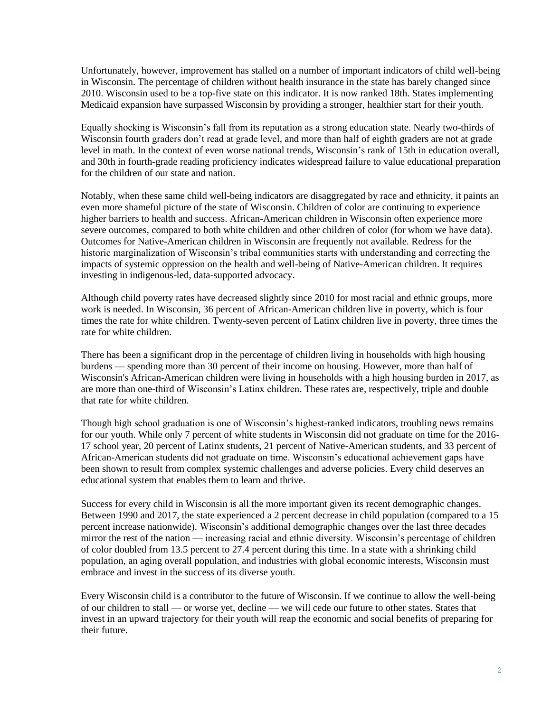Unfortunately, however, improvement has stalled on a number of important indicators of child well-being in Wisconsin. The percentage of children without health insurance in the state has barely changed since 2010. Wisconsin used to be a top-five state on this indicator. It is now ranked 18th. States implementing Medicaid expansion have surpassed Wisconsin by providing a stronger, healthier start for their youth.

Equally shocking is Wisconsin's fall from its reputation as a strong education state. Nearly two-thirds of Wisconsin fourth graders don't read at grade level, and more than half of eighth graders are not at grade level in math. In the context of even worse national trends, Wisconsin's rank of 15th in education overall, and 30th in fourth-grade reading proficiency indicates widespread failure to value educational preparation for the children of our state and nation.

Notably, when these same child well-being indicators are disaggregated by race and ethnicity, it paints an even more shameful picture of the state of Wisconsin. Children of color are continuing to experience higher barriers to health and success. African-American children in Wisconsin often experience more severe outcomes, compared to both white children and other children of color (for whom we have data). Outcomes for Native-American children in Wisconsin are frequently not available. Redress for the historic marginalization of Wisconsin's tribal communities starts with understanding and correcting the impacts of systemic oppression on the health and well-being of Native-American children. It requires investing in indigenous-led, data-supported advocacy.

Although child poverty rates have decreased slightly since 2010 for most racial and ethnic groups, more work is needed. In Wisconsin, 36 percent of African-American children live in poverty, which is four times the rate for white children. Twenty-seven percent of Latinx children live in poverty, three times the rate for white children.

There has been a significant drop in the percentage of children living in households with high housing burdens — spending more than 30 percent of their income on housing. However, more than half of Wisconsin's African-American children were living in households with a high housing burden in 2017, as are more than one-third of Wisconsin's Latinx children. These rates are, respectively, triple and double that rate for white children.

Though high school graduation is one of Wisconsin's highest-ranked indicators, troubling news remains for our youth. While only 7 percent of white students in Wisconsin did not graduate on time for the 2016- 17 school year, 20 percent of Latinx students, 21 percent of Native-American students, and 33 percent of African-American students did not graduate on time. Wisconsin's educational achievement gaps have been shown to result from complex systemic challenges and adverse policies. Every child deserves an educational system that enables them to learn and thrive.

Success for every child in Wisconsin is all the more important given its recent demographic changes. Between 1990 and 2017, the state experienced a 2 percent decrease in child population (compared to a 15 percent increase nationwide). Wisconsin's additional demographic changes over the last three decades mirror the rest of the nation — increasing racial and ethnic diversity. Wisconsin's percentage of children of color doubled from 13.5 percent to 27.4 percent during this time. In a state with a shrinking child population, an aging overall population, and industries with global economic interests, Wisconsin must embrace and invest in the success of its diverse youth.

Every Wisconsin child is a contributor to the future of Wisconsin. If we continue to allow the well-being of our children to stall — or worse yet, decline — we will cede our future to other states. States that invest in an upward trajectory for their youth will reap the economic and social benefits of preparing for their future.